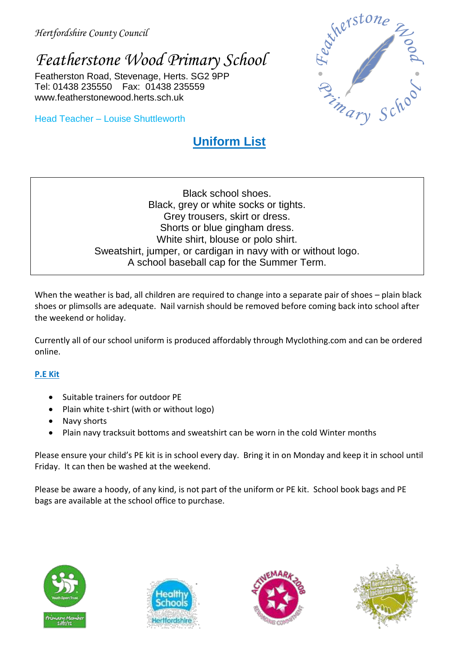# *Featherstone Wood Primary School*

Featherston Road, Stevenage, Herts. SG2 9PP Tel: 01438 235550 Fax: 01438 235559 www.featherstonewood.herts.sch.uk

Head Teacher – Louise Shuttleworth

## **Uniform List**



Black school shoes. Black, grey or white socks or tights. Grey trousers, skirt or dress. Shorts or blue gingham dress. White shirt, blouse or polo shirt. Sweatshirt, jumper, or cardigan in navy with or without logo. A school baseball cap for the Summer Term.

When the weather is bad, all children are required to change into a separate pair of shoes – plain black shoes or plimsolls are adequate. Nail varnish should be removed before coming back into school after the weekend or holiday.

Currently all of our school uniform is produced affordably through Myclothing.com and can be ordered online.

### **P.E Kit**

- Suitable trainers for outdoor PE
- Plain white t-shirt (with or without logo)
- Navy shorts
- Plain navy tracksuit bottoms and sweatshirt can be worn in the cold Winter months

Please ensure your child's PE kit is in school every day. Bring it in on Monday and keep it in school until Friday. It can then be washed at the weekend.

Please be aware a hoody, of any kind, is not part of the uniform or PE kit. School book bags and PE bags are available at the school office to purchase.